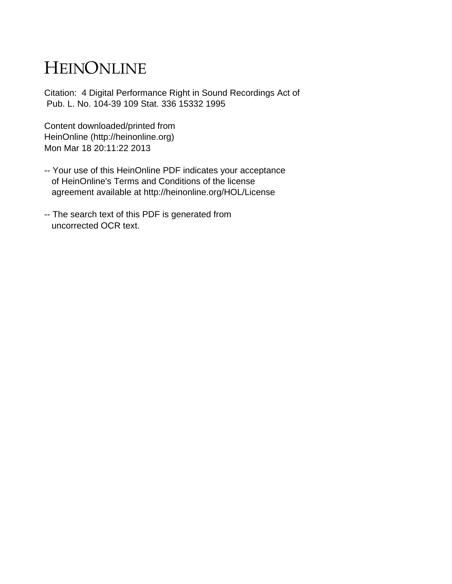# HEINONLINE

Citation: 4 Digital Performance Right in Sound Recordings Act of Pub. L. No. 104-39 109 Stat. 336 15332 1995

Content downloaded/printed from HeinOnline (http://heinonline.org) Mon Mar 18 20:11:22 2013

- -- Your use of this HeinOnline PDF indicates your acceptance of HeinOnline's Terms and Conditions of the license agreement available at http://heinonline.org/HOL/License
- -- The search text of this PDF is generated from uncorrected OCR text.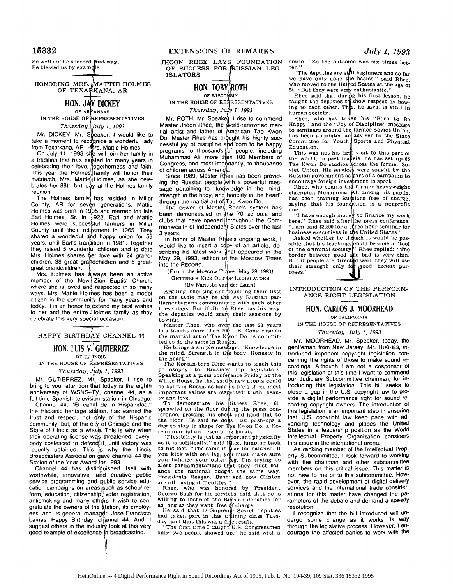So well did he succeed fhat way, He blessed us by example.

HONORING MRS. MATTIE HOLMES OF TEXARKANA, AR

### **HON. JAY DICKEY** OF ARRANSAS

IN THE HOUSE OF **REPRESENTATIVES** 

*Thursday, uly 1, 1993*

Mr. DICKEY. Mr. Speaker, I would like to take a moment to recognize a wonderful lady from Texarkana, AR--Mrs. Mattie Holmes.

On July 11, 1993 she will join her family in a tradition that has exsited for many years in celebrating their love, togetherness and faith. This year the Holmes family will honor their matriarch, Mrs. Mattie Holmes, as she celebrates her 88th birthday at the Holmes family reunion.

The Holmes family, has resided in Miller County, AR for seven generations. Mattie Holmes was born in 1 **0)5** and married the late Earl Holmes, Sr. in 1922. Earl and Mattie Holmes were successful farmers in Miller County until their retirement in 1965. They shared a wonderful **A'd** happy union for 59 years, until Earl's transition in 1981. Together they raised 5 wonderful children and to date Mrs. Holmes shares her love with 24 grandchildren, 38 great grandchildren and 5 greatgreat grandchildren. **11**

Mrs. Holmes has always been an active member of the New **;** Zion Baptist Church, where she is loved and respected in so many ways. Mrs. Mattie Holmes has been a model citizen in the community for many years and today, it is an honor to extend my best wishes to her and the entire Holmes family as they celebrate this very special occasion.

# HAPPY BIRTHDAY CHANNEL 44

## **HON. LUIS V! GUTTERREZ OF ILLINOIS**

**IN** THE HOUSE OF REPRESENTATIVES

#### *Thursday, July 1, 1993*

Mr. GUTIERREZ. Mr. Speaker, I rise to bring to your attention that today is the eighth anniversary of WSNS-TV, channel 44, as a full-time Spanish television station in Chicago.

Channel 44, **"El** canal de la Hispanidad," the Hispanic heritage station, has earned the trust and respect, not only of the Hispanic community, but, of the city of Chicago and the State of Illinois as a whole. This is why when their operating license was threatened, everybody coalesced to defend it, until victory was recently obtained. This **is** why the Illinois Broadcasters Association gave channel 44 the Station of the Year Award for 1993.

Channel 44 has distinguished itself with worthwhile, innovative, ahd creative public service programming and public service education campaigns on areas such as school reform, education, citizenship $_{k}^{0}$  voter registration, antismoking and many others. I wish to congratulate the owners of the station, its employees, and its general manager, Jose Francisco Lamas. Happy Birthday, channel 44. And, I suggest others in the industry look at this very good example of excellence ih broadcasting.

JHOON RHEE LAYS FOUNDATION OF SUCCESS FOR RUSSIAN LEG-ISLATORS

### **HON. TOBY ROTH** OF WISCO *IN*

IN THE HOUSE OF REFRESENTATIVES *Thursday, Ju 1, 1993*

Mr. ROTH. Mr. Speake, I rise to commend Master Jhoon Rhee, the world-renowned martial artist and father of American Tae Kwor Do. Master Rhee has brought his highly successful joy of discipline and born to be happy programs to thousands of people, including Muhammad Ali, more than 100 Members of Congress, and most importantly, to thousands of children across America.

Since 1989, Master Rhee has been providing the Russian people with a powerful message pertaining to "knowledge in the mind, strength in the body, and honesty in the heart" through the martial art of $_{\rm f}$ Tae Kwon Do.

The power of Master Rhee's system has been demonstrated in the 70 schools and clubs that have opened hroughout the Commonwealth of Independent States over the last **3** years. I

In honor of Master Rhee's ongoing work, I would like to insert a copy of an article, describing his latest work, that appeared in the May 29, 1993, edition of the Moscow Times into the RECORD.

[From the Moscow Times, May 29, 1993] **GETTING A KICK OUT OF LEGISLATORS** 

(By Nanette van der Laan)

Arguing, shouting and pounding their fists on the table may be the way Russian parliamentarians communicate with each other these days. But if Jhoom Rhee has his way,<br>the deputies would start their sessions by bowing.<br>**I** Master Rhee, who over the last 28 years

has taught more than 100 U.S. Congressmen the martial art of Tae Kwon Do, is committed to do the same in Russia.

He brings a simple message: "Knowledge in the mind. Strength in the body. Honesty in the heart.

The Korean-born Rhee wants to teach this<br>philosophy to Russia's top legislators.<br>Speaking at a press confeience Friday at the White House, he that said a new utopia could be built in Russia as long.as life's three most important values are respected: truth, beauty and love.

To demonstrate his fitness Rhee. 61. sprawled on the floor duming the press conference, pressing his che t and head flat to the floor. He said he **dos** 1.000 push-ups a day to stay in shape for The Kwon Do. a Ko-

rean martial art resembling karate.<br>
"Flexibility is just as important physically<br>
as it is politically," said Rhee. jumping back to his feet. "The same is frue for balance. If<br>you kick with one leg, you must make sure you balance your other feg. I'm trying to<br>alert parliamentarians that they must balance the national budget the same way.<br>Presidents Reagan. Bush and now Clinton<br>are all having difficulties. are all having difficulties. $\parallel$ <br>Rhee, who was honored by President

George Bush for his services, said that he is willing to instruct the Russian deputies for

as long as they want, free of charge.<br>He said that 12 Supreme Soviet deputies<br>had taken part in this training class Tuesday, and that this was a fine result.

"The first time I taught U.S. Congressmen only two people showed up." he said with a

smile. "So the outcome was six times better."<br>"The deputies are stail beginners and so far

we have only done the basics." said Rhee, who moved to the United States at the age of 24. "But they were very enthusiastic."<br>Rhee said that during his first lesson,  $h_6$ 

taught the deputies  $t_0$  show respect by bow-<br>ing to each other. This, he says, is vital in human society.

Rhee, who has taken his "Born to Be<br>Happy" and the "Joy of Discipline" message to seminars around the former Soviet Union.<br>has been appointed an adviser to the State<br>Committee for Youth. Sports and Physical Education.

This was not his first visit to this part of the world; in past travels, he has set up  $65$ Tae Kwon Do studios across the former So-<br>viet Union. His services were sought by the<br>Russian government as part of a campaign to<br>encourage foreign investment in sport.

Rhee, who counts the former heavyweight<br>champion Muhammad Ali among his pupils,<br>has been training Russians free of charge, saying that his foundation is a nonprofit one.

I have enough money to finance my work"<br>here," Rhee said after the press conference."<br>"I am paid \$2,500 for a three-hour seminar for<br>business executives in the United States."

Asked whether he though it would be pos-<br>he that his teachings could become a "tool sible that his teachings could become a ' of the criminal society ' Rhee replied: "The border between good and bad is very thin. But if people are directed well, they will use<br>their strength only for good, honest purtheir strength only fo poses."

INTRODUCTION OF THE PERFORM-ANCE RIGHT LEGISLATION

#### **HON. CARLOS J.** MOORHEAD

OF **CALIFORNIA**

IN THE HOUSE OF REPRESENTATIVES

*Thursday, July 1, 1993*

Mr. MOORHEAD. Mr. Speaker, today, the gentleman from New Jersey, Mr. HUGHES, introduced important copyright legislation concerning the rights of those to make sound recordings. Although I am not a cosponsor of this legislation at this time I want to commend our Judiciary Subcommittee chairman, for introducing this legislation. This bill seeks to close a gap in the U.S. copyright law to provide a digital performance right for sound recording copyright owners. The introduction of this legislation is an important step in ensuring that U.S. copyright law keep pace with advancing technology and places the United States in a leadership position as the World Intellectual Property Organization considers this issue in the international arena.

As ranking member of the Intellectual Property Subcommittee, I look forward to working with the chairman and other subcommittee members on this critical issue. This matter is not new to me or to this subcommittee. However, the rapid development of digital delivery services and the international trade considerations for this matter have changed the parameters of the debate and demand a speedy resolution.

I recognize that the bill introduced will undergo some change as it works its way through the legislative process. However, I encourage the affected parties to work with the